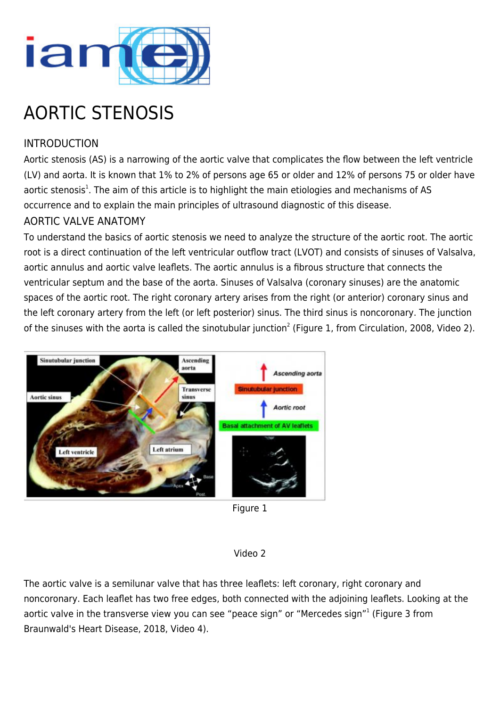

# AORTIC STENOSIS

# INTRODUCTION

Aortic stenosis (AS) is a narrowing of the aortic valve that complicates the flow between the left ventricle (LV) and aorta. It is known that 1% to 2% of persons age 65 or older and 12% of persons 75 or older have aortic stenosis<sup>1</sup>. The aim of this article is to highlight the main etiologies and mechanisms of AS occurrence and to explain the main principles of ultrasound diagnostic of this disease.

## AORTIC VALVE ANATOMY

To understand the basics of aortic stenosis we need to analyze the structure of the aortic root. The aortic root is a direct continuation of the left ventricular outflow tract (LVOT) and consists of sinuses of Valsalva, aortic annulus and aortic valve leaflets. The aortic annulus is a fibrous structure that connects the ventricular septum and the base of the aorta. Sinuses of Valsalva (coronary sinuses) are the anatomic spaces of the aortic root. The right coronary artery arises from the right (or anterior) coronary sinus and the left coronary artery from the left (or left posterior) sinus. The third sinus is noncoronary. The junction of the sinuses with the aorta is called the sinotubular junction<sup>2</sup> (Figure 1, from Circulation, 2008, Video 2).



Figure 1

#### Video 2

The aortic valve is a semilunar valve that has three leaflets: left coronary, right coronary and noncoronary. Each leaflet has two free edges, both connected with the adjoining leaflets. Looking at the aortic valve in the transverse view you can see "peace sign" or "Mercedes sign"<sup>1</sup> (Figure 3 from Braunwald's Heart Disease, 2018, Video 4).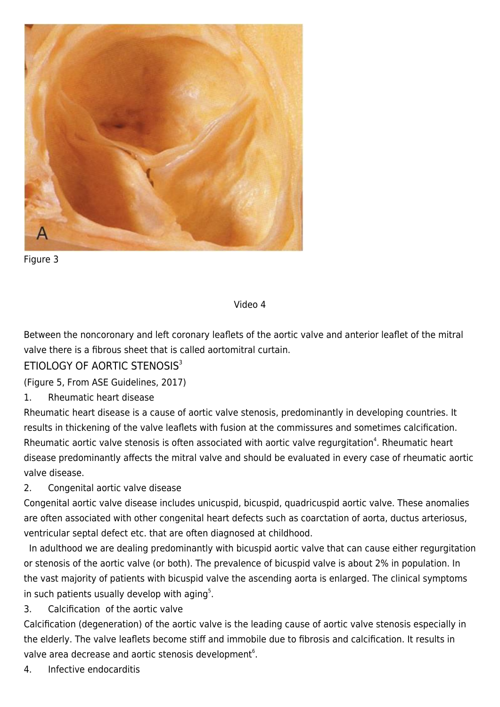

Figure 3

#### Video 4

Between the noncoronary and left coronary leaflets of the aortic valve and anterior leaflet of the mitral valve there is a fibrous sheet that is called aortomitral curtain.

## ETIOLOGY OF AORTIC STENOSIS<sup>3</sup>

(Figure 5, From ASE Guidelines, 2017)

1. Rheumatic heart disease

Rheumatic heart disease is a cause of aortic valve stenosis, predominantly in developing countries. It results in thickening of the valve leaflets with fusion at the commissures and sometimes calcification. Rheumatic aortic valve stenosis is often associated with aortic valve regurgitation<sup>4</sup>. Rheumatic heart disease predominantly affects the mitral valve and should be evaluated in every case of rheumatic aortic valve disease.

#### 2. Congenital aortic valve disease

Congenital aortic valve disease includes unicuspid, bicuspid, quadricuspid aortic valve. These anomalies are often associated with other congenital heart defects such as coarctation of aorta, ductus arteriosus, ventricular septal defect etc. that are often diagnosed at childhood.

 In adulthood we are dealing predominantly with bicuspid aortic valve that can cause either regurgitation or stenosis of the aortic valve (or both). The prevalence of bicuspid valve is about 2% in population. In the vast majority of patients with bicuspid valve the ascending aorta is enlarged. The clinical symptoms in such patients usually develop with aging $5$ .

3. Calcification of the aortic valve

Calcification (degeneration) of the aortic valve is the leading cause of aortic valve stenosis especially in the elderly. The valve leaflets become stiff and immobile due to fibrosis and calcification. It results in valve area decrease and aortic stenosis development $^6$ .

4. Infective endocarditis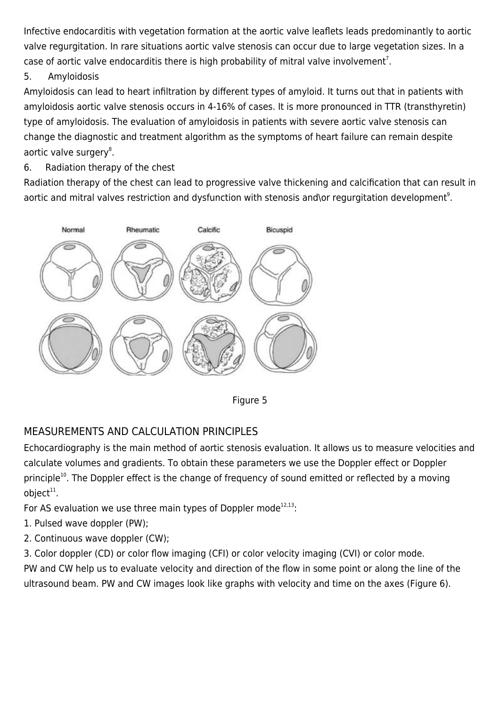Infective endocarditis with vegetation formation at the aortic valve leaflets leads predominantly to aortic valve regurgitation. In rare situations aortic valve stenosis can occur due to large vegetation sizes. In a case of aortic valve endocarditis there is high probability of mitral valve involvement<sup>7</sup>.

5. Amyloidosis

Amyloidosis can lead to heart infiltration by different types of amyloid. It turns out that in patients with amyloidosis aortic valve stenosis occurs in 4-16% of cases. It is more pronounced in TTR (transthyretin) type of amyloidosis. The evaluation of amyloidosis in patients with severe aortic valve stenosis can change the diagnostic and treatment algorithm as the symptoms of heart failure can remain despite aortic valve surgery<sup>8</sup>.

6. Radiation therapy of the chest

Radiation therapy of the chest can lead to progressive valve thickening and calcification that can result in aortic and mitral valves restriction and dysfunction with stenosis and\or regurgitation development<sup>9</sup>.





# MEASUREMENTS AND CALCULATION PRINCIPLES

Echocardiography is the main method of aortic stenosis evaluation. It allows us to measure velocities and calculate volumes and gradients. To obtain these parameters we use the Doppler effect or Doppler principle<sup>10</sup>. The Doppler effect is the change of frequency of sound emitted or reflected by a moving object $^{\rm 11}$ .

For AS evaluation we use three main types of Doppler mode $12,13$ :

- 1. Pulsed wave doppler (PW);
- 2. Continuous wave doppler (CW);

3. Color doppler (CD) or color flow imaging (CFI) or color velocity imaging (CVI) or color mode.

PW and CW help us to evaluate velocity and direction of the flow in some point or along the line of the ultrasound beam. PW and CW images look like graphs with velocity and time on the axes (Figure 6).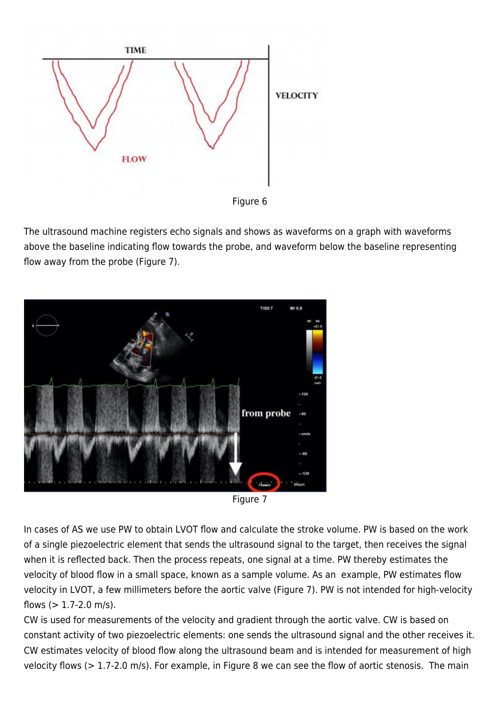

Figure 6

The ultrasound machine registers echo signals and shows as waveforms on a graph with waveforms above the baseline indicating flow towards the probe, and waveform below the baseline representing flow away from the probe (Figure 7).



Figure 7

In cases of AS we use PW to obtain LVOT flow and calculate the stroke volume. PW is based on the work of a single piezoelectric element that sends the ultrasound signal to the target, then receives the signal when it is reflected back. Then the process repeats, one signal at a time. PW thereby estimates the velocity of blood flow in a small space, known as a sample volume. As an example, PW estimates flow velocity in LVOT, a few millimeters before the aortic valve (Figure 7). PW is not intended for high-velocity flows  $(> 1.7 - 2.0 \text{ m/s})$ .

CW is used for measurements of the velocity and gradient through the aortic valve. CW is based on constant activity of two piezoelectric elements: one sends the ultrasound signal and the other receives it. CW estimates velocity of blood flow along the ultrasound beam and is intended for measurement of high velocity flows (> 1.7-2.0 m/s). For example, in Figure 8 we can see the flow of aortic stenosis. The main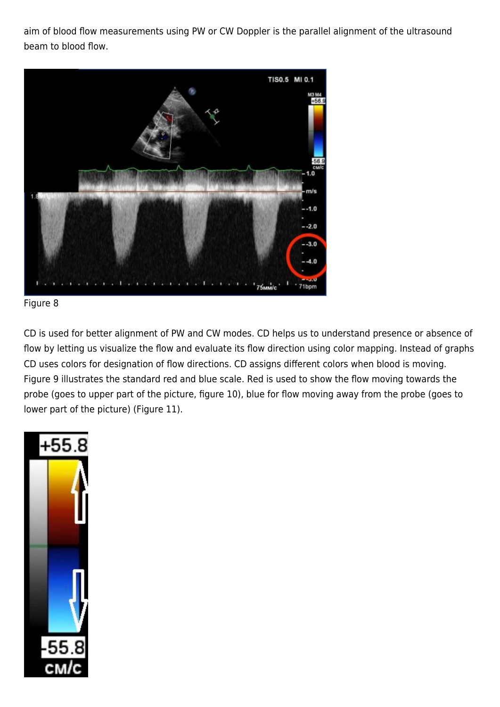aim of blood flow measurements using PW or CW Doppler is the parallel alignment of the ultrasound beam to blood flow.





CD is used for better alignment of PW and CW modes. CD helps us to understand presence or absence of flow by letting us visualize the flow and evaluate its flow direction using color mapping. Instead of graphs CD uses colors for designation of flow directions. CD assigns different colors when blood is moving. Figure 9 illustrates the standard red and blue scale. Red is used to show the flow moving towards the probe (goes to upper part of the picture, figure 10), blue for flow moving away from the probe (goes to lower part of the picture) (Figure 11).

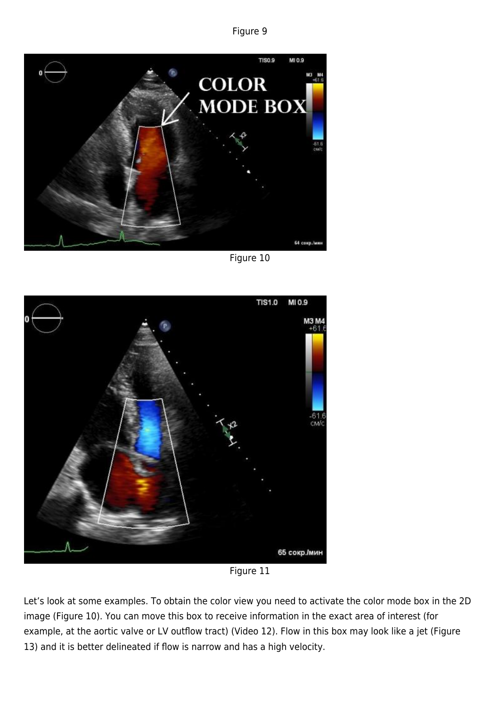Figure 9



Figure 10



Figure 11

Let's look at some examples. To obtain the color view you need to activate the color mode box in the 2D image (Figure 10). You can move this box to receive information in the exact area of interest (for example, at the aortic valve or LV outflow tract) (Video 12). Flow in this box may look like a jet (Figure 13) and it is better delineated if flow is narrow and has a high velocity.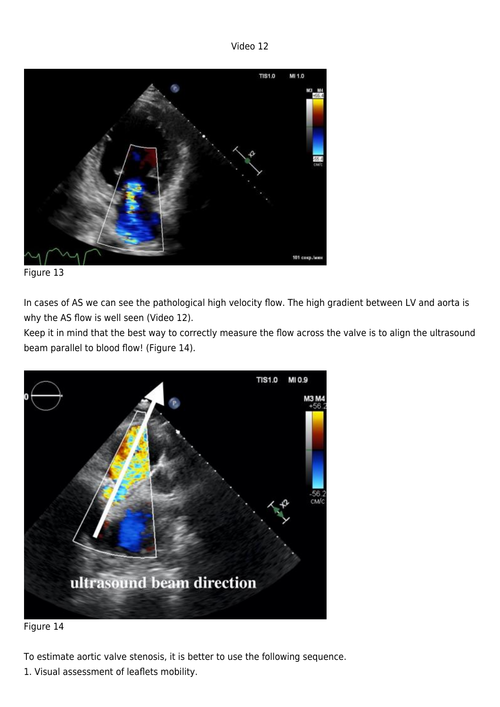Video 12



Figure 13

In cases of AS we can see the pathological high velocity flow. The high gradient between LV and aorta is why the AS flow is well seen (Video 12).

Keep it in mind that the best way to correctly measure the flow across the valve is to align the ultrasound beam parallel to blood flow! (Figure 14).





To estimate aortic valve stenosis, it is better to use the following sequence.

1. Visual assessment of leaflets mobility.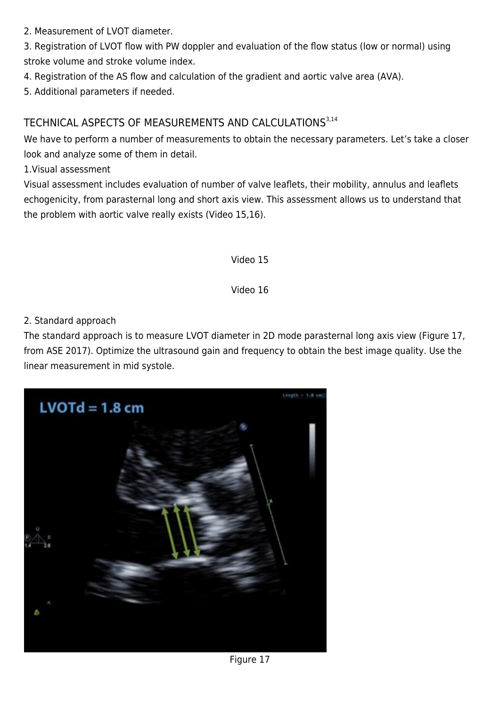2. Measurement of LVOT diameter.

3. Registration of LVOT flow with PW doppler and evaluation of the flow status (low or normal) using stroke volume and stroke volume index.

- 4. Registration of the AS flow and calculation of the gradient and aortic valve area (AVA).
- 5. Additional parameters if needed.

# TECHNICAL ASPECTS OF MEASUREMENTS AND CALCULATIONS<sup>3,14</sup>

We have to perform a number of measurements to obtain the necessary parameters. Let's take a closer look and analyze some of them in detail.

1.Visual assessment

Visual assessment includes evaluation of number of valve leaflets, their mobility, annulus and leaflets echogenicity, from parasternal long and short axis view. This assessment allows us to understand that the problem with aortic valve really exists (Video 15,16).

Video 15

Video 16

#### 2. Standard approach

The standard approach is to measure LVOT diameter in 2D mode parasternal long axis view (Figure 17, from ASE 2017). Optimize the ultrasound gain and frequency to obtain the best image quality. Use the linear measurement in mid systole.

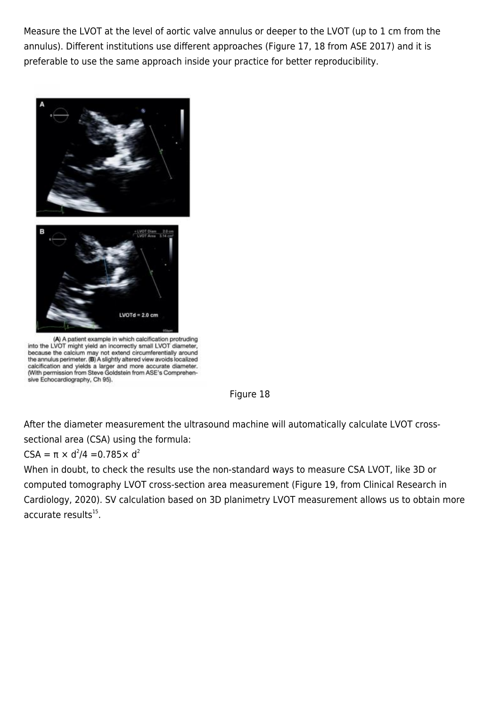Measure the LVOT at the level of aortic valve annulus or deeper to the LVOT (up to 1 cm from the annulus). Different institutions use different approaches (Figure 17, 18 from ASE 2017) and it is preferable to use the same approach inside your practice for better reproducibility.



(A) A patient example in which calcification protruding into the LVOT might yield an incorrectly small LVOT diameter, because the calcium may not extend circumferentially around the annulus perimeter. (B) A slightly altered view avoids localized calcification and yields a larger and more accurate diameter.<br>(With permission from Steve Goldstein from ASE's Comprehensive Echocardiography, Ch 95).



After the diameter measurement the ultrasound machine will automatically calculate LVOT crosssectional area (CSA) using the formula:

#### $CSA = π \times d^2/4 = 0.785 \times d^2$

When in doubt, to check the results use the non-standard ways to measure CSA LVOT, like 3D or computed tomography LVOT cross-section area measurement (Figure 19, from Clinical Research in Cardiology, 2020). SV calculation based on 3D planimetry LVOT measurement allows us to obtain more accurate results<sup>15</sup>.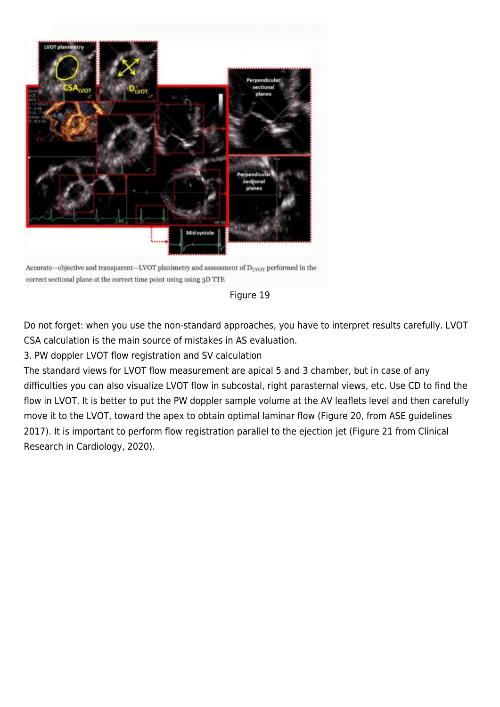

Accurate-objective and transparent-LVOT planimetry and assessment of D<sub>LVOT</sub> performed in the correct sectional plane at the correct time point using using 3D TTE



Do not forget: when you use the non-standard approaches, you have to interpret results carefully. LVOT CSA calculation is the main source of mistakes in AS evaluation.

3. PW doppler LVOT flow registration and SV calculation

The standard views for LVOT flow measurement are apical 5 and 3 chamber, but in case of any difficulties you can also visualize LVOT flow in subcostal, right parasternal views, etc. Use CD to find the flow in LVOT. It is better to put the PW doppler sample volume at the AV leaflets level and then carefully move it to the LVOT, toward the apex to obtain optimal laminar flow (Figure 20, from ASE guidelines 2017). It is important to perform flow registration parallel to the ejection jet (Figure 21 from Clinical Research in Cardiology, 2020).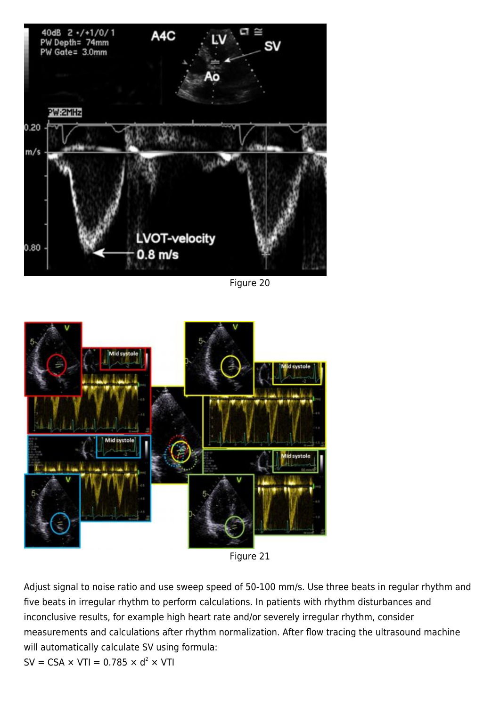

Figure 20



Figure 21

Adjust signal to noise ratio and use sweep speed of 50-100 mm/s. Use three beats in regular rhythm and five beats in irregular rhythm to perform calculations. In patients with rhythm disturbances and inconclusive results, for example high heart rate and/or severely irregular rhythm, consider measurements and calculations after rhythm normalization. After flow tracing the ultrasound machine will automatically calculate SV using formula:

 $SV = CSA \times VTI = 0.785 \times d^2 \times VTI$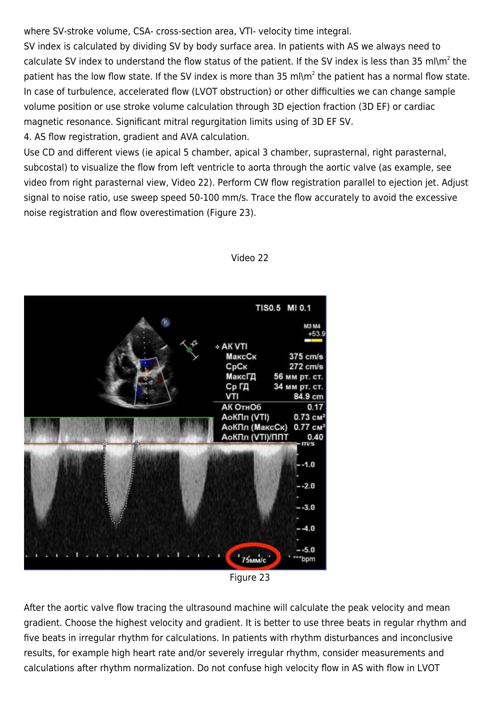where SV-stroke volume, CSA- cross-section area, VTI- velocity time integral.

SV index is calculated by dividing SV by body surface area. In patients with AS we always need to calculate SV index to understand the flow status of the patient. If the SV index is less than 35 ml\m<sup>2</sup> the patient has the low flow state. If the SV index is more than 35 ml\m<sup>2</sup> the patient has a normal flow state. In case of turbulence, accelerated flow (LVOT obstruction) or other difficulties we can change sample volume position or use stroke volume calculation through 3D ejection fraction (3D EF) or cardiac magnetic resonance. Significant mitral regurgitation limits using of 3D EF SV.

4. AS flow registration, gradient and AVA calculation.

Use CD and different views (ie apical 5 chamber, apical 3 chamber, suprasternal, right parasternal, subcostal) to visualize the flow from left ventricle to aorta through the aortic valve (as example, see video from right parasternal view, Video 22). Perform CW flow registration parallel to ejection jet. Adjust signal to noise ratio, use sweep speed 50-100 mm/s. Trace the flow accurately to avoid the excessive noise registration and flow overestimation (Figure 23).



#### Video 22

Figure 23

After the aortic valve flow tracing the ultrasound machine will calculate the peak velocity and mean gradient. Choose the highest velocity and gradient. It is better to use three beats in regular rhythm and five beats in irregular rhythm for calculations. In patients with rhythm disturbances and inconclusive results, for example high heart rate and/or severely irregular rhythm, consider measurements and calculations after rhythm normalization. Do not confuse high velocity flow in AS with flow in LVOT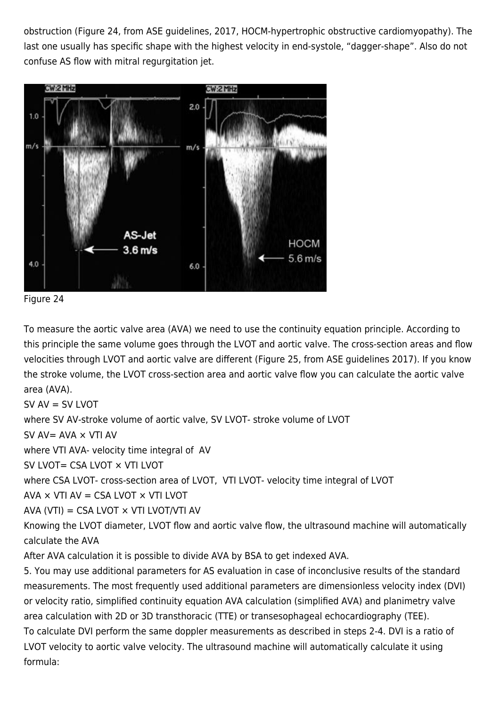obstruction (Figure 24, from ASE guidelines, 2017, HOCM-hypertrophic obstructive cardiomyopathy). The last one usually has specific shape with the highest velocity in end-systole, "dagger-shape". Also do not confuse AS flow with mitral regurgitation jet.



Figure 24

To measure the aortic valve area (AVA) we need to use the continuity equation principle. According to this principle the same volume goes through the LVOT and aortic valve. The cross-section areas and flow velocities through LVOT and aortic valve are different (Figure 25, from ASE guidelines 2017). If you know the stroke volume, the LVOT cross-section area and aortic valve flow you can calculate the aortic valve area (AVA).

 $SV AV = SV LVOT$ 

where SV AV-stroke volume of aortic valve, SV LVOT- stroke volume of LVOT

 $SV AV = AVA \times VTI AV$ 

where VTI AVA- velocity time integral of AV

SV LVOT= CSA LVOT × VTI LVOT

where CSA LVOT- cross-section area of LVOT, VTI LVOT- velocity time integral of LVOT

AVA  $\times$  VTI AV = CSA LVOT  $\times$  VTI LVOT

AVA (VTI) = CSA LVOT  $\times$  VTI LVOT/VTI AV

Knowing the LVOT diameter, LVOT flow and aortic valve flow, the ultrasound machine will automatically calculate the AVA

After AVA calculation it is possible to divide AVA by BSA to get indexed AVA.

5. You may use additional parameters for AS evaluation in case of inconclusive results of the standard measurements. The most frequently used additional parameters are dimensionless velocity index (DVI) or velocity ratio, simplified continuity equation AVA calculation (simplified AVA) and planimetry valve area calculation with 2D or 3D transthoracic (TTE) or transesophageal echocardiography (TEE). To calculate DVI perform the same doppler measurements as described in steps 2-4. DVI is a ratio of LVOT velocity to aortic valve velocity. The ultrasound machine will automatically calculate it using formula: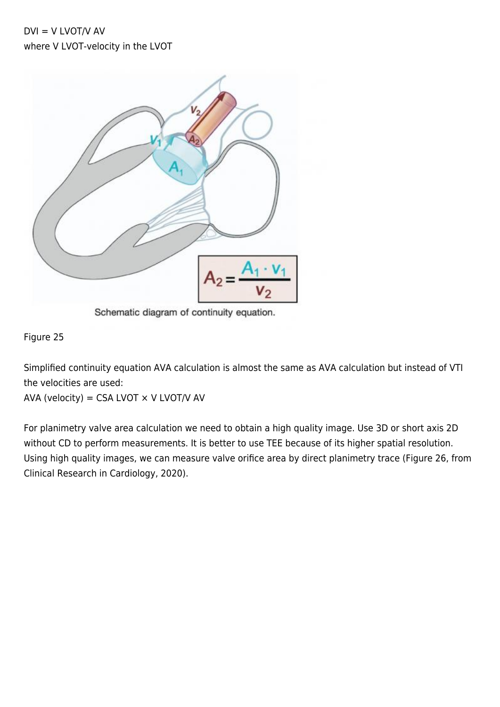$DVI = V LVOT/V AV$ where V LVOT-velocity in the LVOT



Schematic diagram of continuity equation.

#### Figure 25

Simplified continuity equation AVA calculation is almost the same as AVA calculation but instead of VTI the velocities are used:

AVA (velocity) = CSA LVOT  $\times$  V LVOT/V AV

For planimetry valve area calculation we need to obtain a high quality image. Use 3D or short axis 2D without CD to perform measurements. It is better to use TEE because of its higher spatial resolution. Using high quality images, we can measure valve orifice area by direct planimetry trace (Figure 26, from Clinical Research in Cardiology, 2020).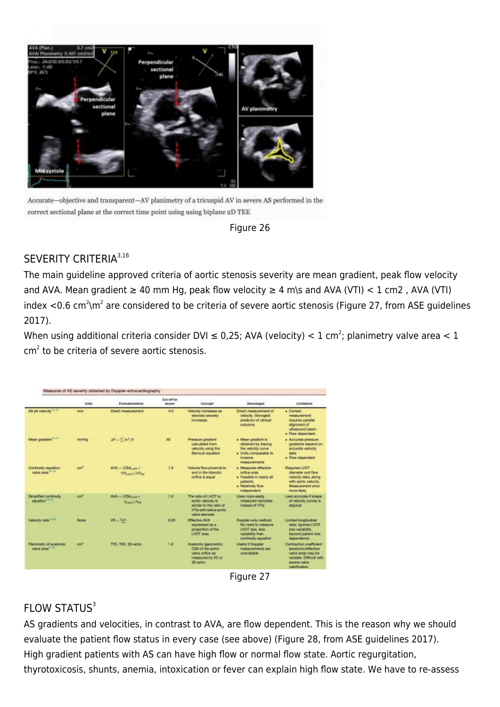

Accurate-objective and transparent-AV planimetry of a tricuspid AV in severe AS performed in the correct sectional plane at the correct time point using using biplane 2D TEE



# SEVERITY CRITERIA<sup>3,16</sup>

The main guideline approved criteria of aortic stenosis severity are mean gradient, peak flow velocity and AVA. Mean gradient  $\geq 40$  mm Hg, peak flow velocity  $\geq 4$  m\s and AVA (VTI) < 1 cm2, AVA (VTI) index <0.6 cm<sup>2</sup>\m<sup>2</sup> are considered to be criteria of severe aortic stenosis (Figure 27, from ASE guidelines 2017).

When using additional criteria consider DVI  $\leq$  0,25; AVA (velocity)  $< 1$  cm<sup>2</sup>; planimetry valve area  $< 1$  $cm<sup>2</sup>$  to be criteria of severe aortic stenosis.

|                                                             | <b>Units</b>    | Formula/method                                            | Cut-off for<br>savate | Concept                                                                                                            | Advantages                                                                                                                | Limitations                                                                                                                         |
|-------------------------------------------------------------|-----------------|-----------------------------------------------------------|-----------------------|--------------------------------------------------------------------------------------------------------------------|---------------------------------------------------------------------------------------------------------------------------|-------------------------------------------------------------------------------------------------------------------------------------|
| AS jet velocity <sup>11</sup>                               | rita/is         | <b>Direct measurement</b>                                 | 40                    | <b>Velocity increases as</b><br>stenosis severty<br>increases.                                                     | Direct measurement of<br>velocity. Strongest<br>predictor of clinical<br>eutcome                                          | · Correct<br>measurement<br>requires parallel<br>alignment of<br>ultrasound beam.<br>· Flow dependent.                              |
| Mean gradient <sup>12-14</sup>                              | mmHg.           | $AP = \sum 4x^2/N$                                        | 40                    | Pressure gradient<br>calculated from<br>velocity using the<br><b>Barrout equation</b>                              | · Mean gradient is<br>obtained by tracing<br>the velocity curve<br>· Units comparable to<br><b>TASSAN</b><br>massurements | · Accurate pressure<br>gradients depend on<br>accurate velocity<br>chiftin<br>· Flow dependent                                      |
| Continuity equation<br>valve area <sup>1618</sup>           | $-1$            | AVA - (CSA une K)<br>VII <sub>1303</sub> VII <sub>M</sub> | 1.0                   | Volume flow proximal to<br>and in the stenotic<br>office is occal.                                                 | · Massures offscilve<br>orfice area.<br>- Feasible in nearly all<br>patients.<br>. Relatively flow<br>Independent         | <b>Requires LVOT</b><br>dameter and flow<br>velocity data, along<br>with aortic velocity.<br><b>Messurement</b> enor<br>more likely |
| Simplified continuity<br>equation <sup>18, 25</sup>         | cm <sup>2</sup> | $N/N = 105A$ yor $n$<br><b>Vision L'Vair</b>              | 1.0                   | The ratio of LVOT to<br>aortic velocity is<br>similar to the ratio of<br>VTIs with native sortic<br>volve steronis | Lises more roolly<br>measured velocities<br>instead of VTIs                                                               | Less accurate if shape<br>of velocity curves is<br><b><i>stypical</i></b>                                                           |
| Velocity ratio <sup>19,99</sup>                             | Norw            | $WR = \frac{R_{\text{eff}}}{R}$                           | 0.25                  | <b>Effective AVA</b><br>materials beautiful and<br>proportion of the<br><b>EVOT great</b>                          | Doppler-only method.<br>No need to measure<br><b>EVOT size less</b><br>wariability than<br>continuity equation            | Limited longitudinal<br>data, Ignores LVOT<br>size variability<br>beyond patient size<br>dependence                                 |
| Planimetry of anatomic<br><b>Valve area<sup>TT.22</sup></b> | $-102$          | TTE, TEE, 3D-echo                                         | $+5$                  | Arustomic (geometric)<br>CSA of the aortic.<br>valve orifice as<br>measured by 20 or<br>3D echo                    | <b>Useful if Doppler</b><br>measurements are<br>unavailable                                                               | Contraction conficient<br>(anatomic/effective<br>valve area) may be<br>variable. Difficult with<br>sawaris valve<br>calcification   |

Figure 27

# $FI$  OW STATUS<sup>3</sup>

AS gradients and velocities, in contrast to AVA, are flow dependent. This is the reason why we should evaluate the patient flow status in every case (see above) (Figure 28, from ASE guidelines 2017). High gradient patients with AS can have high flow or normal flow state. Aortic regurgitation, thyrotoxicosis, shunts, anemia, intoxication or fever can explain high flow state. We have to re-assess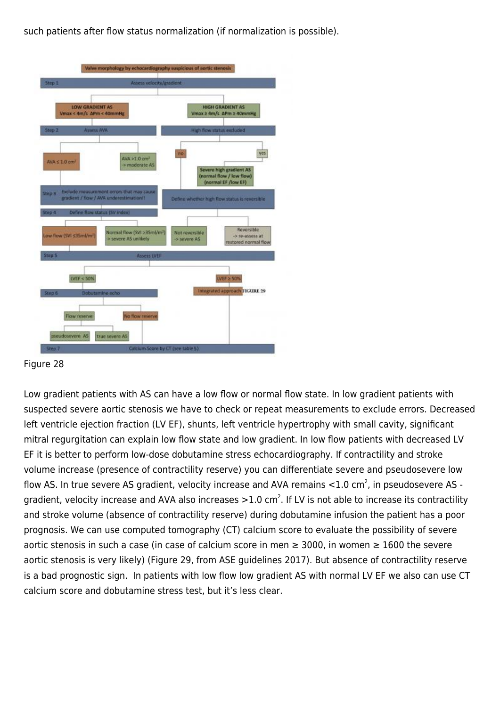such patients after flow status normalization (if normalization is possible).



Figure 28

Low gradient patients with AS can have a low flow or normal flow state. In low gradient patients with suspected severe aortic stenosis we have to check or repeat measurements to exclude errors. Decreased left ventricle ejection fraction (LV EF), shunts, left ventricle hypertrophy with small cavity, significant mitral regurgitation can explain low flow state and low gradient. In low flow patients with decreased LV EF it is better to perform low-dose dobutamine stress echocardiography. If contractility and stroke volume increase (presence of contractility reserve) you can differentiate severe and pseudosevere low flow AS. In true severe AS gradient, velocity increase and AVA remains  $<$ 1.0 cm<sup>2</sup>, in pseudosevere AS gradient, velocity increase and AVA also increases >1.0 cm<sup>2</sup>. If LV is not able to increase its contractility and stroke volume (absence of contractility reserve) during dobutamine infusion the patient has a poor prognosis. We can use computed tomography (CT) calcium score to evaluate the possibility of severe aortic stenosis in such a case (in case of calcium score in men  $\geq$  3000, in women  $\geq$  1600 the severe aortic stenosis is very likely) (Figure 29, from ASE guidelines 2017). But absence of contractility reserve is a bad prognostic sign. In patients with low flow low gradient AS with normal LV EF we also can use CT calcium score and dobutamine stress test, but it's less clear.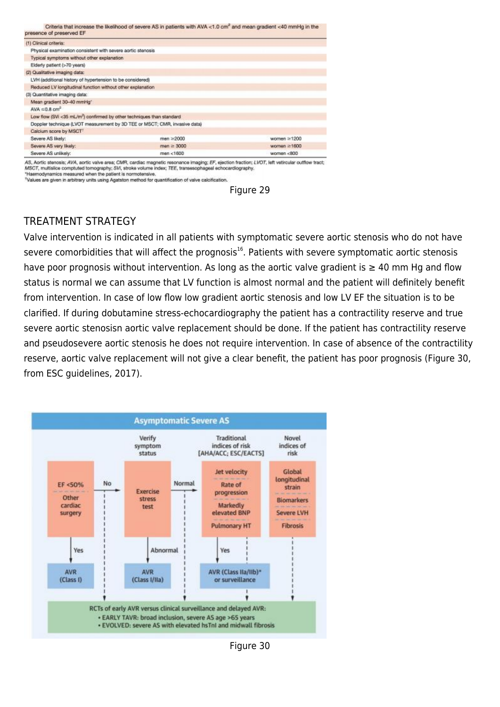| presence of preserved EF                                                          | Criteria that increase the likelihood of severe AS in patients with AVA <1.0 cm <sup>-</sup> and mean gradient <40 mmHg in the |                   |
|-----------------------------------------------------------------------------------|--------------------------------------------------------------------------------------------------------------------------------|-------------------|
| (1) Clinical criteria:                                                            |                                                                                                                                |                   |
| Physical examination consistent with severe aortic stenosis                       |                                                                                                                                |                   |
| Typical symptoms without other explanation                                        |                                                                                                                                |                   |
| Elderly patient (>70 years)                                                       |                                                                                                                                |                   |
| (2) Qualitative imaging data:                                                     |                                                                                                                                |                   |
| LVH (additional history of hypertension to be considered)                         |                                                                                                                                |                   |
| Reduced LV longitudinal function without other explanation                        |                                                                                                                                |                   |
| (3) Quantitative imaging data:                                                    |                                                                                                                                |                   |
| Mean gradient 30-40 mmHg*                                                         |                                                                                                                                |                   |
| AVA $\leq$ 0.8 cm <sup>2</sup>                                                    |                                                                                                                                |                   |
| Low flow (SVi <35 mL/m <sup>2</sup> ) confirmed by other techniques than standard |                                                                                                                                |                   |
| Doppler technique (LVOT measurement by 3D TEE or MSCT; CMR, invasive data)        |                                                                                                                                |                   |
| Calcium score by MSCT <sup>1</sup>                                                |                                                                                                                                |                   |
| Severe AS likely:                                                                 | $men \geq 2000$                                                                                                                | women ≥1200       |
| Severe AS very likely:                                                            | $man \geq 3000$                                                                                                                | women $\geq$ 1600 |
| Severe AS unlikely:                                                               | men < 1600                                                                                                                     | women <800        |

AS, Aortic stenosis; AVA, aortic valve area; CMR, cardiac magnetic resonance imaging; EF, ejection fraction; LVOT, left vetircular outflow tract;<br>MSCT, multislice comptuted tomography; SVi, stroke volume Index; TEE, transe \*Haemodynamics measured when the patient is normotensive

\*Values are given in arbitrary units using Agatston method for quantification of valve calcification.



# TREATMENT STRATEGY

Valve intervention is indicated in all patients with symptomatic severe aortic stenosis who do not have severe comorbidities that will affect the prognosis<sup>16</sup>. Patients with severe symptomatic aortic stenosis have poor prognosis without intervention. As long as the aortic valve gradient is  $\geq 40$  mm Hg and flow status is normal we can assume that LV function is almost normal and the patient will definitely benefit from intervention. In case of low flow low gradient aortic stenosis and low LV EF the situation is to be clarified. If during dobutamine stress-echocardiography the patient has a contractility reserve and true severe aortic stenosisn aortic valve replacement should be done. If the patient has contractility reserve and pseudosevere aortic stenosis he does not require intervention. In case of absence of the contractility reserve, aortic valve replacement will not give a clear benefit, the patient has poor prognosis (Figure 30, from ESC guidelines, 2017).



Figure 30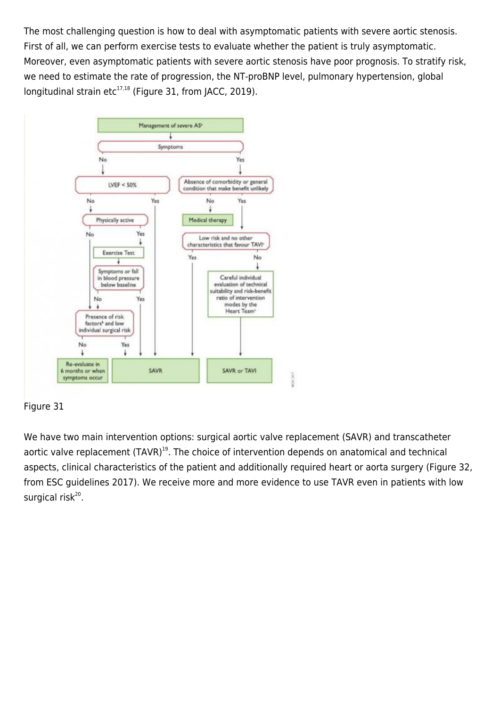The most challenging question is how to deal with asymptomatic patients with severe aortic stenosis. First of all, we can perform exercise tests to evaluate whether the patient is truly asymptomatic. Moreover, even asymptomatic patients with severe aortic stenosis have poor prognosis. To stratify risk, we need to estimate the rate of progression, the NT-proBNP level, pulmonary hypertension, global longitudinal strain etc $^{17,18}$  (Figure 31, from JACC, 2019).



## Figure 31

We have two main intervention options: surgical aortic valve replacement (SAVR) and transcatheter aortic valve replacement (TAVR)<sup>19</sup>. The choice of intervention depends on anatomical and technical aspects, clinical characteristics of the patient and additionally required heart or aorta surgery (Figure 32, from ESC guidelines 2017). We receive more and more evidence to use TAVR even in patients with low surgical risk<sup>20</sup>.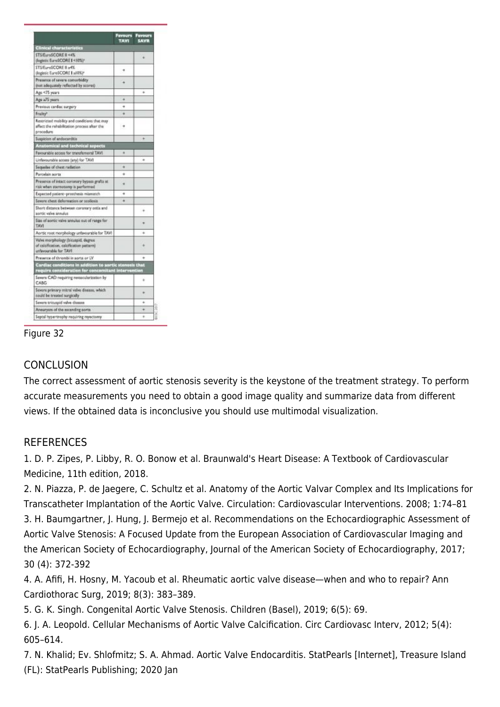|                                                                                                           | TAVI | <b>SAVR</b> |
|-----------------------------------------------------------------------------------------------------------|------|-------------|
| <b>Clinical characteristics</b>                                                                           |      |             |
| STS/EuroSCORE II <4%<br>(logistic EuroSCORE I <10%)*                                                      |      |             |
| STS/EuroSCORE II »4%<br>(logistic EuroSCORE   ≥10%)*                                                      | ۰    |             |
| Presence of severe comorbidity<br>(not adequately reflected by scores)                                    |      |             |
| Age <75 years                                                                                             |      | s.          |
| Age a75 years                                                                                             | 4    |             |
| Previous cardiac surgery                                                                                  |      |             |
| Frailty <sup>*</sup>                                                                                      |      |             |
| Restricted mobility and conditions that may<br>affect the rehabilitation process after the<br>procedure   |      |             |
| Suspicion of endocarditis                                                                                 |      |             |
| stomical and technical aspects                                                                            |      |             |
| Ferourship access for transfernoral TAWI                                                                  | ۰    |             |
| Unfavourable sccess (any) for TAVI                                                                        |      | ٠           |
| Sequelse of chest radiation                                                                               | ٠    |             |
| Porcelain aorta                                                                                           | ۰    |             |
| Presence of intact coronary bypass grafts at<br>risk when starmotomy is performed                         |      |             |
| Expected patient-prosthesis miamatch                                                                      | ۰    |             |
| Severe chest deformation or scoliosis                                                                     | ٠    |             |
| Short distance between coronary ostia and<br>sortic valve annulus                                         |      | 14          |
| Size of sortic valve annulus out of range for<br><b>TAV1</b>                                              |      |             |
| Aortic root morphology unterounable for TAVI                                                              |      |             |
| Valve morphology (bicaspid, degree<br>of calcification, calcification pattern)<br>unfavourable for TAVI   |      |             |
| Presence of thrombi in sorts or LV                                                                        |      |             |
| Cardiac conditions in addition to aprtic stenosis that<br>require consideration for concomitant intervent |      |             |
| Severs CAD requiring revascularization by<br>CABG                                                         |      | ٠           |
| Severe primary mitral valve disease, which<br>tould be treated surgically                                 |      |             |
| Severn tricuspid valve disease                                                                            |      | ٠           |
| Annuryum of the ascending sorts                                                                           |      | ۰           |
| Septal hypertrophy requiring myectomy                                                                     |      | ٠           |



# **CONCLUSION**

The correct assessment of aortic stenosis severity is the keystone of the treatment strategy. To perform accurate measurements you need to obtain a good image quality and summarize data from different views. If the obtained data is inconclusive you should use multimodal visualization.

## **REFERENCES**

1. D. P. Zipes, P. Libby, R. O. Bonow et al. Braunwald's Heart Disease: A Textbook of Cardiovascular Medicine, 11th edition, 2018.

2. N. Piazza, P. de Jaegere, C. Schultz et al. Anatomy of the Aortic Valvar Complex and Its Implications for Transcatheter Implantation of the Aortic Valve. Circulation: Cardiovascular Interventions. 2008; 1:74–81 3. H. Baumgartner, J. Hung, J. Bermejo et al. Recommendations on the Echocardiographic Assessment of Aortic Valve Stenosis: A Focused Update from the European Association of Cardiovascular Imaging and the American Society of Echocardiography, Journal of the American Society of Echocardiography, 2017; 30 (4): 372-392

4. A. Afifi, H. Hosny, M. Yacoub et al. Rheumatic aortic valve disease—when and who to repair? Ann Cardiothorac Surg, 2019; 8(3): 383–389.

5. G. K. Singh. Congenital Aortic Valve Stenosis. Children (Basel), 2019; 6(5): 69.

6. J. A. Leopold. Cellular Mechanisms of Aortic Valve Calcification. Circ Cardiovasc Interv, 2012; 5(4): 605–614.

7. N. Khalid; Ev. Shlofmitz; S. A. Ahmad. Aortic Valve Endocarditis. StatPearls [Internet], Treasure Island (FL): StatPearls Publishing; 2020 Jan